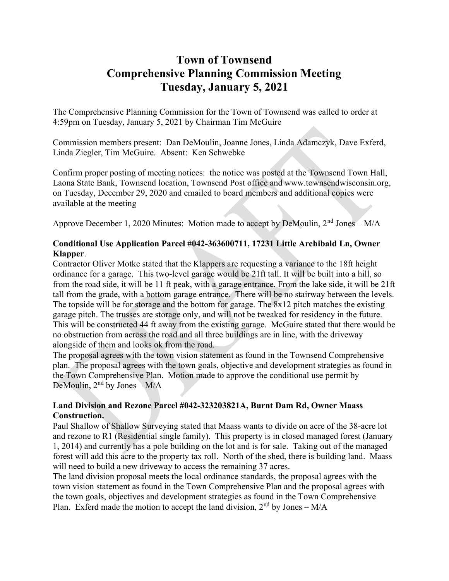## Town of Townsend Comprehensive Planning Commission Meeting Tuesday, January 5, 2021

The Comprehensive Planning Commission for the Town of Townsend was called to order at 4:59pm on Tuesday, January 5, 2021 by Chairman Tim McGuire

Commission members present: Dan DeMoulin, Joanne Jones, Linda Adamczyk, Dave Exferd, Linda Ziegler, Tim McGuire. Absent: Ken Schwebke

Confirm proper posting of meeting notices: the notice was posted at the Townsend Town Hall, Laona State Bank, Townsend location, Townsend Post office and www.townsendwisconsin.org, on Tuesday, December 29, 2020 and emailed to board members and additional copies were available at the meeting

Approve December 1, 2020 Minutes: Motion made to accept by DeMoulin, 2nd Jones – M/A

## Conditional Use Application Parcel #042-363600711, 17231 Little Archibald Ln, Owner Klapper.

Contractor Oliver Motke stated that the Klappers are requesting a variance to the 18ft height ordinance for a garage. This two-level garage would be 21ft tall. It will be built into a hill, so from the road side, it will be 11 ft peak, with a garage entrance. From the lake side, it will be 21ft tall from the grade, with a bottom garage entrance. There will be no stairway between the levels. The topside will be for storage and the bottom for garage. The 8x12 pitch matches the existing garage pitch. The trusses are storage only, and will not be tweaked for residency in the future. This will be constructed 44 ft away from the existing garage. McGuire stated that there would be no obstruction from across the road and all three buildings are in line, with the driveway alongside of them and looks ok from the road.

The proposal agrees with the town vision statement as found in the Townsend Comprehensive plan. The proposal agrees with the town goals, objective and development strategies as found in the Town Comprehensive Plan. Motion made to approve the conditional use permit by DeMoulin,  $2<sup>nd</sup>$  by Jones – M/A

## Land Division and Rezone Parcel #042-323203821A, Burnt Dam Rd, Owner Maass Construction.

Paul Shallow of Shallow Surveying stated that Maass wants to divide on acre of the 38-acre lot and rezone to R1 (Residential single family). This property is in closed managed forest (January 1, 2014) and currently has a pole building on the lot and is for sale. Taking out of the managed forest will add this acre to the property tax roll. North of the shed, there is building land. Maass will need to build a new driveway to access the remaining 37 acres.

The land division proposal meets the local ordinance standards, the proposal agrees with the town vision statement as found in the Town Comprehensive Plan and the proposal agrees with the town goals, objectives and development strategies as found in the Town Comprehensive Plan. Exferd made the motion to accept the land division,  $2<sup>nd</sup>$  by Jones – M/A